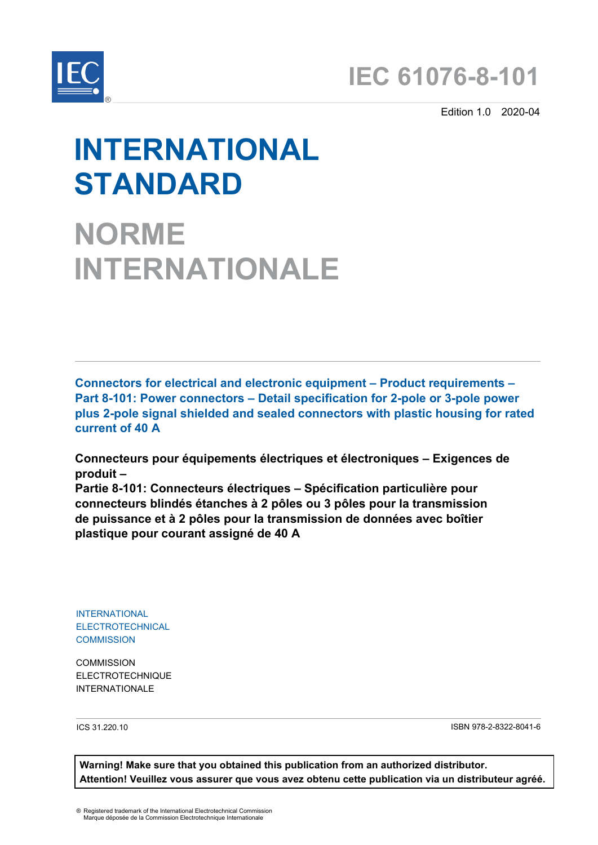

Edition 1.0 2020-04

# **INTERNATIONAL STANDARD**

**NORME INTERNATIONALE**

**Connectors for electrical and electronic equipment – Product requirements – Part 8-101: Power connectors – Detail specification for 2-pole or 3-pole power plus 2-pole signal shielded and sealed connectors with plastic housing for rated current of 40 A** 

**Connecteurs pour équipements électriques et électroniques – Exigences de produit –** 

**Partie 8-101: Connecteurs électriques – Spécification particulière pour connecteurs blindés étanches à 2 pôles ou 3 pôles pour la transmission de puissance et à 2 pôles pour la transmission de données avec boîtier plastique pour courant assigné de 40 A**

INTERNATIONAL **ELECTROTECHNICAL COMMISSION** 

**COMMISSION** ELECTROTECHNIQUE INTERNATIONALE

ICS 31.220.10 ISBN 978-2-8322-8041-6

**Warning! Make sure that you obtained this publication from an authorized distributor. Attention! Veuillez vous assurer que vous avez obtenu cette publication via un distributeur agréé.**

® Registered trademark of the International Electrotechnical Commission Marque déposée de la Commission Electrotechnique Internationale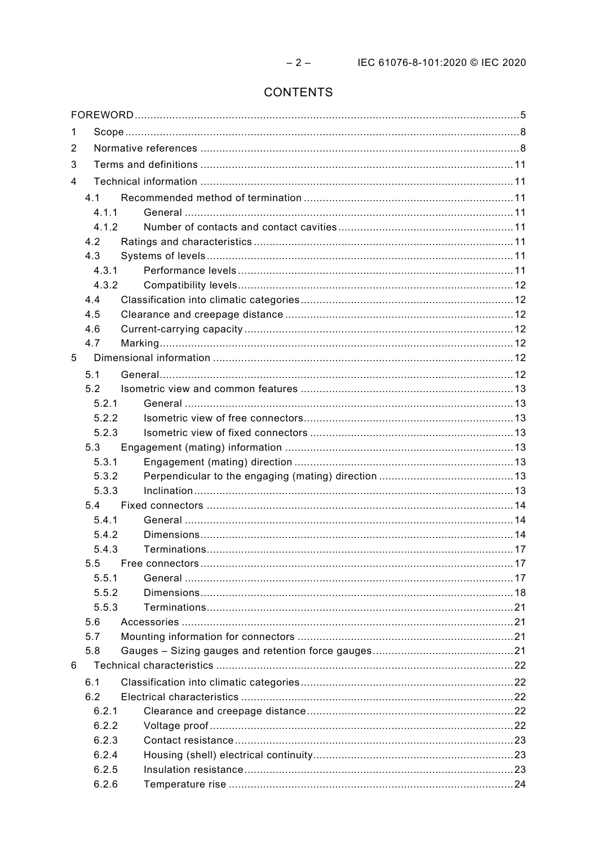# CONTENTS

| 1 |       |  |
|---|-------|--|
| 2 |       |  |
| 3 |       |  |
| 4 |       |  |
|   | 4.1   |  |
|   | 4.1.1 |  |
|   | 412   |  |
|   | 4.2   |  |
|   | 4.3   |  |
|   | 4.3.1 |  |
|   | 4.3.2 |  |
|   | 4.4   |  |
|   | 4.5   |  |
|   | 4.6   |  |
|   | 4.7   |  |
| 5 |       |  |
|   | 5.1   |  |
|   | 5.2   |  |
|   | 5.2.1 |  |
|   | 5.2.2 |  |
|   | 5.2.3 |  |
|   | 5.3   |  |
|   | 5.3.1 |  |
|   | 5.3.2 |  |
|   | 5.3.3 |  |
|   | 5.4   |  |
|   | 5.4.1 |  |
|   | 5.4.2 |  |
|   | 5.4.3 |  |
|   | 5.5   |  |
|   | 5.5.1 |  |
|   | 5.5.2 |  |
|   | 5.5.3 |  |
|   | 5.6   |  |
|   | 5.7   |  |
|   | 5.8   |  |
| 6 |       |  |
|   | 6.1   |  |
|   | 6.2   |  |
|   | 6.2.1 |  |
|   | 6.2.2 |  |
|   | 6.2.3 |  |
|   | 6.2.4 |  |
|   | 6.2.5 |  |
|   | 6.2.6 |  |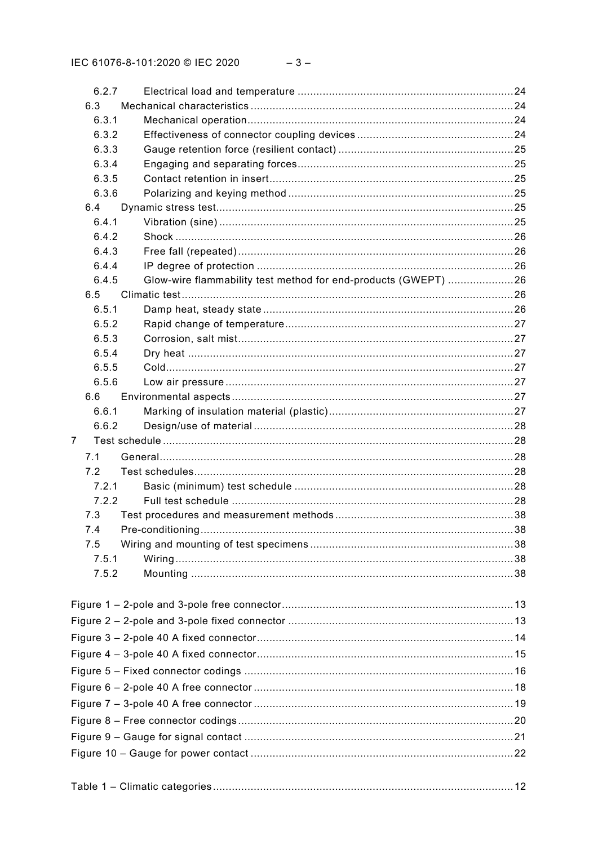| 6.2.7          |                                                                |  |
|----------------|----------------------------------------------------------------|--|
| 6.3            |                                                                |  |
| 6.3.1          |                                                                |  |
| 6.3.2          |                                                                |  |
| 6.3.3          |                                                                |  |
| 6.3.4          |                                                                |  |
| 6.3.5          |                                                                |  |
| 6.3.6          |                                                                |  |
| 6.4            |                                                                |  |
| 6.4.1          |                                                                |  |
| 6.4.2          |                                                                |  |
| 6.4.3          |                                                                |  |
| 6.4.4          |                                                                |  |
| 6.4.5          | Glow-wire flammability test method for end-products (GWEPT) 26 |  |
| 6.5            |                                                                |  |
| 6.5.1          |                                                                |  |
| 6.5.2          |                                                                |  |
| 6.5.3          |                                                                |  |
| 6.5.4          |                                                                |  |
| 6.5.5          |                                                                |  |
| 6.5.6          |                                                                |  |
| 6.6            |                                                                |  |
| 6.6.1          |                                                                |  |
| 6.6.2          |                                                                |  |
| $\overline{7}$ |                                                                |  |
| 7.1            |                                                                |  |
| 7.2            |                                                                |  |
| 7.2.1          |                                                                |  |
| 7.2.2          |                                                                |  |
| 7.3            |                                                                |  |
| 7.4            |                                                                |  |
| 7.5<br>7.5.1   |                                                                |  |
|                |                                                                |  |
| 7.5.2          |                                                                |  |
|                |                                                                |  |
|                |                                                                |  |
|                |                                                                |  |
|                |                                                                |  |
|                |                                                                |  |
|                |                                                                |  |
|                |                                                                |  |
|                |                                                                |  |
|                |                                                                |  |
|                |                                                                |  |
|                |                                                                |  |
|                |                                                                |  |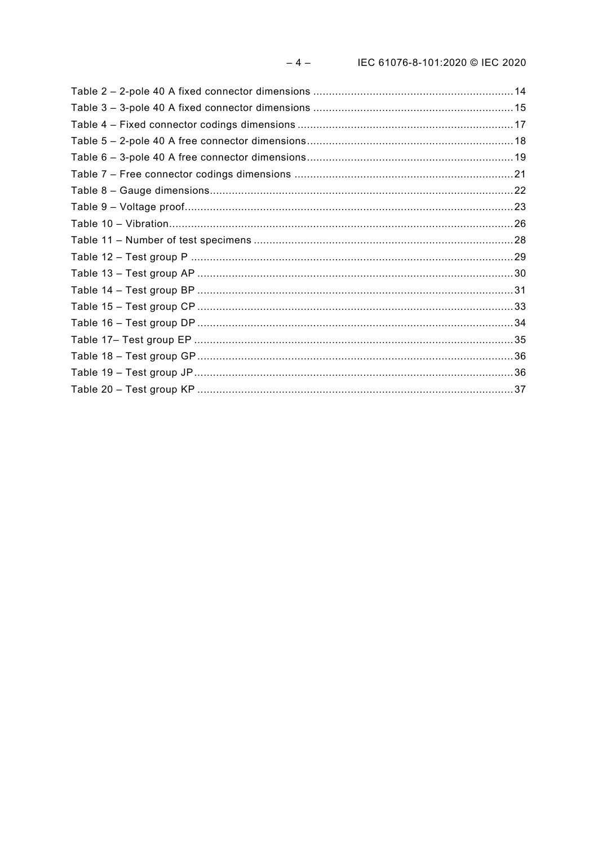# $-4 -$  IEC 61076-8-101:2020 © IEC 2020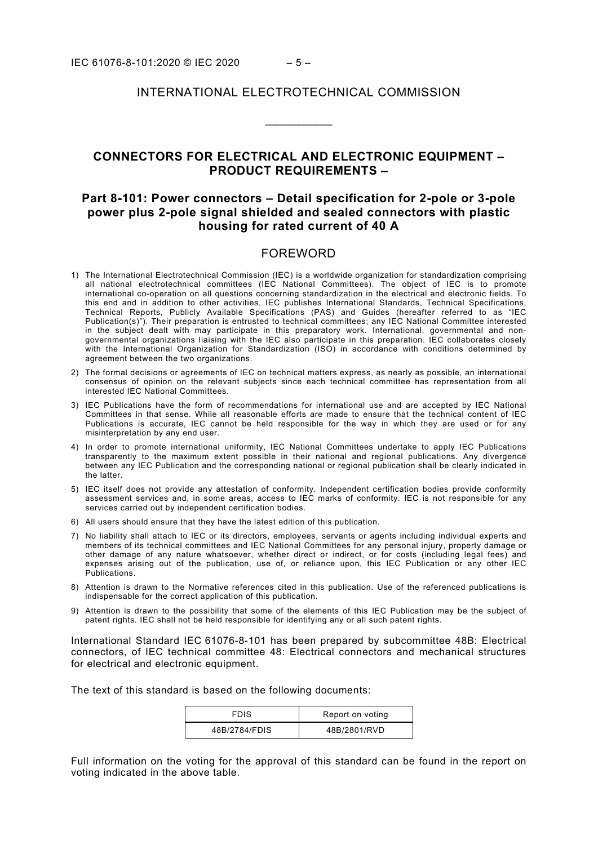#### INTERNATIONAL ELECTROTECHNICAL COMMISSION

\_\_\_\_\_\_\_\_\_\_\_\_

# **CONNECTORS FOR ELECTRICAL AND ELECTRONIC EQUIPMENT – PRODUCT REQUIREMENTS –**

## **Part 8-101: Power connectors – Detail specification for 2-pole or 3-pole power plus 2-pole signal shielded and sealed connectors with plastic housing for rated current of 40 A**

#### FOREWORD

- <span id="page-4-0"></span>1) The International Electrotechnical Commission (IEC) is a worldwide organization for standardization comprising all national electrotechnical committees (IEC National Committees). The object of IEC is to promote international co-operation on all questions concerning standardization in the electrical and electronic fields. To this end and in addition to other activities, IEC publishes International Standards, Technical Specifications, Technical Reports, Publicly Available Specifications (PAS) and Guides (hereafter referred to as "IEC Publication(s)"). Their preparation is entrusted to technical committees; any IEC National Committee interested in the subject dealt with may participate in this preparatory work. International, governmental and nongovernmental organizations liaising with the IEC also participate in this preparation. IEC collaborates closely with the International Organization for Standardization (ISO) in accordance with conditions determined by agreement between the two organizations.
- 2) The formal decisions or agreements of IEC on technical matters express, as nearly as possible, an international consensus of opinion on the relevant subjects since each technical committee has representation from all interested IEC National Committees.
- 3) IEC Publications have the form of recommendations for international use and are accepted by IEC National Committees in that sense. While all reasonable efforts are made to ensure that the technical content of IEC Publications is accurate, IEC cannot be held responsible for the way in which they are used or for any misinterpretation by any end user.
- 4) In order to promote international uniformity, IEC National Committees undertake to apply IEC Publications transparently to the maximum extent possible in their national and regional publications. Any divergence between any IEC Publication and the corresponding national or regional publication shall be clearly indicated in the latter.
- 5) IEC itself does not provide any attestation of conformity. Independent certification bodies provide conformity assessment services and, in some areas, access to IEC marks of conformity. IEC is not responsible for any services carried out by independent certification bodies.
- 6) All users should ensure that they have the latest edition of this publication.
- 7) No liability shall attach to IEC or its directors, employees, servants or agents including individual experts and members of its technical committees and IEC National Committees for any personal injury, property damage or other damage of any nature whatsoever, whether direct or indirect, or for costs (including legal fees) and expenses arising out of the publication, use of, or reliance upon, this IEC Publication or any other IEC Publications.
- 8) Attention is drawn to the Normative references cited in this publication. Use of the referenced publications is indispensable for the correct application of this publication.
- 9) Attention is drawn to the possibility that some of the elements of this IEC Publication may be the subject of patent rights. IEC shall not be held responsible for identifying any or all such patent rights.

International Standard IEC 61076-8-101 has been prepared by subcommittee 48B: Electrical connectors, of IEC technical committee 48: Electrical connectors and mechanical structures for electrical and electronic equipment.

The text of this standard is based on the following documents:

| FDIS          | Report on voting |
|---------------|------------------|
| 48B/2784/FDIS | 48B/2801/RVD     |

Full information on the voting for the approval of this standard can be found in the report on voting indicated in the above table.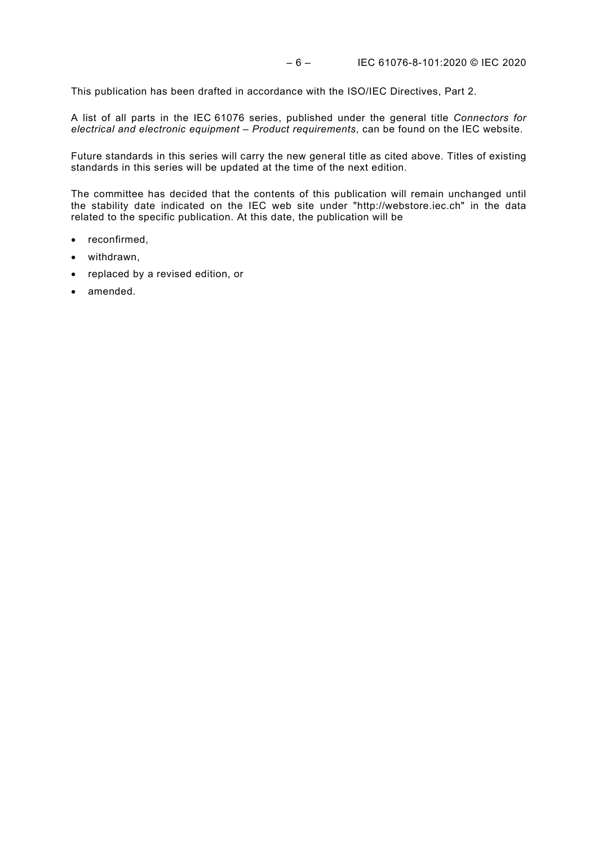This publication has been drafted in accordance with the ISO/IEC Directives, Part 2.

A list of all parts in the IEC 61076 series, published under the general title *Connectors for electrical and electronic equipment – Product requirements*, can be found on the IEC website.

Future standards in this series will carry the new general title as cited above. Titles of existing standards in this series will be updated at the time of the next edition.

The committee has decided that the contents of this publication will remain unchanged until the stability date indicated on the IEC web site under "http://webstore.iec.ch" in the data related to the specific publication. At this date, the publication will be

- reconfirmed,
- withdrawn,
- replaced by a revised edition, or
- amended.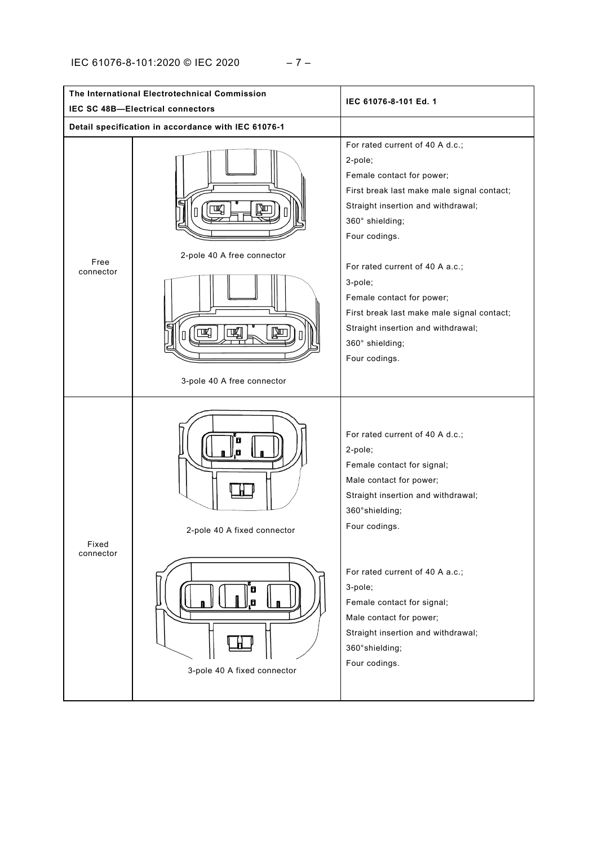

3-pole 40 A fixed connector

360°shielding; Four codings.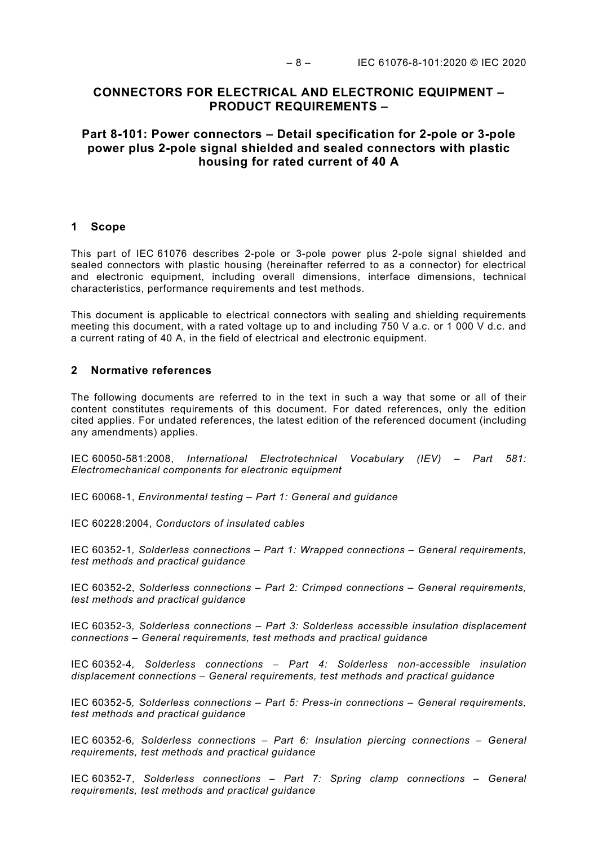## **CONNECTORS FOR ELECTRICAL AND ELECTRONIC EQUIPMENT – PRODUCT REQUIREMENTS –**

# **Part 8-101: Power connectors – Detail specification for 2-pole or 3-pole power plus 2-pole signal shielded and sealed connectors with plastic housing for rated current of 40 A**

#### <span id="page-7-0"></span>**1 Scope**

This part of IEC 61076 describes 2-pole or 3-pole power plus 2-pole signal shielded and sealed connectors with plastic housing (hereinafter referred to as a connector) for electrical and electronic equipment, including overall dimensions, interface dimensions, technical characteristics, performance requirements and test methods.

This document is applicable to electrical connectors with sealing and shielding requirements meeting this document, with a rated voltage up to and including 750 V a.c. or 1 000 V d.c. and a current rating of 40 A, in the field of electrical and electronic equipment.

#### <span id="page-7-1"></span>**2 Normative references**

The following documents are referred to in the text in such a way that some or all of their content constitutes requirements of this document. For dated references, only the edition cited applies. For undated references, the latest edition of the referenced document (including any amendments) applies.

IEC 60050-581:2008, *International Electrotechnical Vocabulary (IEV) – Part 581: Electromechanical components for electronic equipment*

IEC 60068-1, *Environmental testing – Part 1: General and guidance*

IEC 60228:2004, *Conductors of insulated cables*

IEC 60352-1*, Solderless connections – Part 1: Wrapped connections – General requirements, test methods and practical guidance*

IEC 60352-2, *Solderless connections – Part 2: Crimped connections – General requirements, test methods and practical guidance*

IEC 60352-3*, Solderless connections – Part 3: Solderless accessible insulation displacement connections – General requirements, test methods and practical guidance*

IEC 60352-4*, Solderless connections – Part 4: Solderless non-accessible insulation displacement connections – General requirements, test methods and practical guidance*

IEC 60352-5*, Solderless connections – Part 5: Press-in connections – General requirements, test methods and practical guidance*

IEC 60352-6*, Solderless connections – Part 6: Insulation piercing connections – General requirements, test methods and practical guidance*

IEC 60352-7, *Solderless connections – Part 7: Spring clamp connections – General requirements, test methods and practical guidance*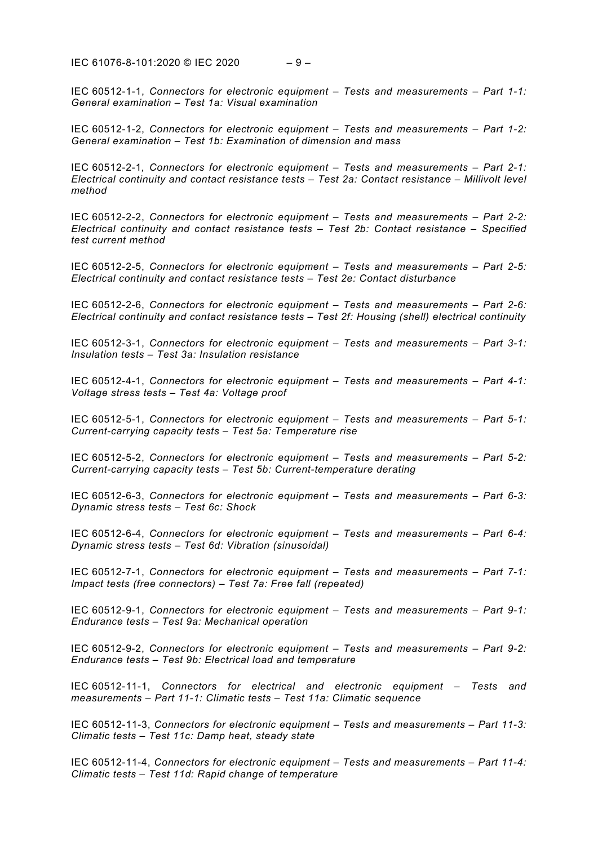IEC 61076-8-101:2020 © IEC 2020 – 9 –

IEC 60512-1-1, *Connectors for electronic equipment – Tests and measurements – Part 1-1: General examination – Test 1a: Visual examination*

IEC 60512-1-2, *Connectors for electronic equipment – Tests and measurements – Part 1-2: General examination – Test 1b: Examination of dimension and mass*

IEC 60512-2-1*, Connectors for electronic equipment – Tests and measurements – Part 2-1: Electrical continuity and contact resistance tests – Test 2a: Contact resistance – Millivolt level method*

IEC 60512-2-2, *Connectors for electronic equipment – Tests and measurements – Part 2-2: Electrical continuity and contact resistance tests – Test 2b: Contact resistance – Specified test current method*

IEC 60512-2-5, *Connectors for electronic equipment – Tests and measurements – Part 2-5: Electrical continuity and contact resistance tests – Test 2e: Contact disturbance*

IEC 60512-2-6, *Connectors for electronic equipment – Tests and measurements – Part 2-6: Electrical continuity and contact resistance tests – Test 2f: Housing (shell) electrical continuity*

IEC 60512-3-1, *Connectors for electronic equipment – Tests and measurements – Part 3-1: Insulation tests – Test 3a: Insulation resistance*

IEC 60512-4-1, *Connectors for electronic equipment – Tests and measurements – Part 4-1: Voltage stress tests – Test 4a: Voltage proof*

IEC 60512-5-1, *Connectors for electronic equipment – Tests and measurements – Part 5-1: Current-carrying capacity tests – Test 5a: Temperature rise*

IEC 60512-5-2, *Connectors for electronic equipment – Tests and measurements – Part 5-2: Current-carrying capacity tests – Test 5b: Current-temperature derating*

IEC 60512-6-3, *Connectors for electronic equipment – Tests and measurements – Part 6-3: Dynamic stress tests – Test 6c: Shock*

IEC 60512-6-4, *Connectors for electronic equipment – Tests and measurements – Part 6-4: Dynamic stress tests – Test 6d: Vibration (sinusoidal)*

IEC 60512-7-1, *Connectors for electronic equipment – Tests and measurements – Part 7-1: Impact tests (free connectors) – Test 7a: Free fall (repeated)*

IEC 60512-9-1, *Connectors for electronic equipment – Tests and measurements – Part 9-1: Endurance tests – Test 9a: Mechanical operation*

IEC 60512-9-2, *Connectors for electronic equipment – Tests and measurements – Part 9-2: Endurance tests – Test 9b: Electrical load and temperature*

IEC 60512-11-1, *Connectors for electrical and electronic equipment – Tests and measurements – Part 11-1: Climatic tests – Test 11a: Climatic sequence*

IEC 60512-11-3, *Connectors for electronic equipment – Tests and measurements – Part 11-3: Climatic tests – Test 11c: Damp heat, steady state*

IEC 60512-11-4, *Connectors for electronic equipment – Tests and measurements – Part 11-4: Climatic tests – Test 11d: Rapid change of temperature*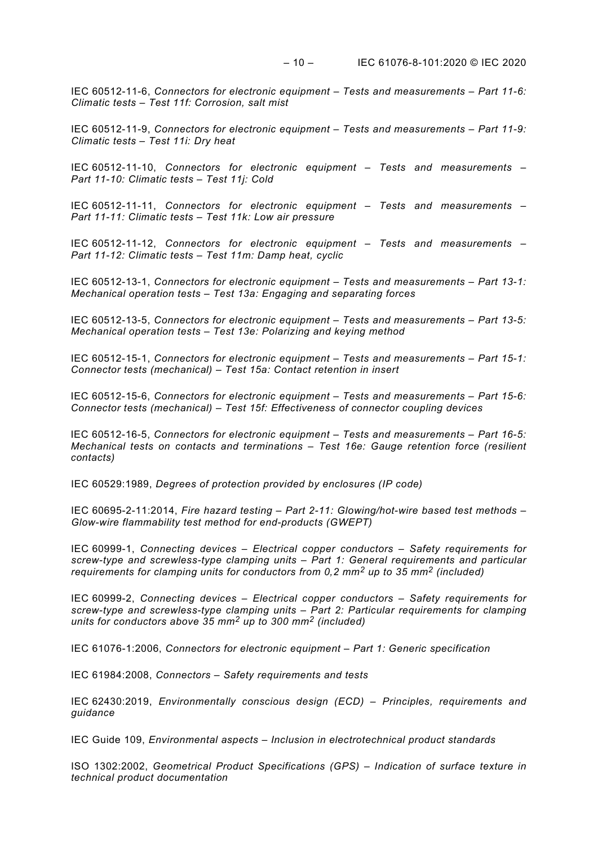IEC 60512-11-6, *Connectors for electronic equipment – Tests and measurements – Part 11-6: Climatic tests – Test 11f: Corrosion, salt mist*

IEC 60512-11-9, *Connectors for electronic equipment – Tests and measurements – Part 11-9: Climatic tests – Test 11i: Dry heat*

IEC 60512-11-10, *Connectors for electronic equipment – Tests and measurements – Part 11-10: Climatic tests – Test 11j: Cold*

IEC 60512-11-11, *Connectors for electronic equipment – Tests and measurements – Part 11-11: Climatic tests – Test 11k: Low air pressure*

IEC 60512-11-12, *Connectors for electronic equipment – Tests and measurements – Part 11-12: Climatic tests – Test 11m: Damp heat, cyclic*

IEC 60512-13-1, *Connectors for electronic equipment – Tests and measurements – Part 13-1: Mechanical operation tests – Test 13a: Engaging and separating forces*

IEC 60512-13-5, *Connectors for electronic equipment – Tests and measurements – Part 13-5: Mechanical operation tests – Test 13e: Polarizing and keying method* 

IEC 60512-15-1, *Connectors for electronic equipment – Tests and measurements – Part 15-1: Connector tests (mechanical) – Test 15a: Contact retention in insert*

IEC 60512-15-6, *Connectors for electronic equipment – Tests and measurements – Part 15-6: Connector tests (mechanical) – Test 15f: Effectiveness of connector coupling devices*

IEC 60512-16-5, *Connectors for electronic equipment – Tests and measurements – Part 16-5: Mechanical tests on contacts and terminations – Test 16e: Gauge retention force (resilient contacts)*

IEC 60529:1989, *Degrees of protection provided by enclosures (IP code)*

IEC 60695-2-11:2014, *Fire hazard testing – Part 2-11: Glowing/hot-wire based test methods – Glow-wire flammability test method for end-products (GWEPT)*

IEC 60999-1, *Connecting devices – Electrical copper conductors – Safety requirements for screw-type and screwless-type clamping units – Part 1: General requirements and particular requirements for clamping units for conductors from 0,2 mm<sup>2</sup> up to 35 mm<sup>2</sup> (included)*

IEC 60999-2, *Connecting devices – Electrical copper conductors – Safety requirements for screw-type and screwless-type clamping units – Part 2: Particular requirements for clamping units for conductors above 35 mm<sup>2</sup> up to 300 mm<sup>2</sup> (included)*

IEC 61076-1:2006, *Connectors for electronic equipment – Part 1: Generic specification*

IEC 61984:2008, *Connectors – Safety requirements and tests*

IEC 62430:2019, *Environmentally conscious design (ECD) – Principles, requirements and guidance*

IEC Guide 109, *Environmental aspects – Inclusion in electrotechnical product standards*

ISO 1302:2002, *Geometrical Product Specifications (GPS) – Indication of surface texture in technical product documentation*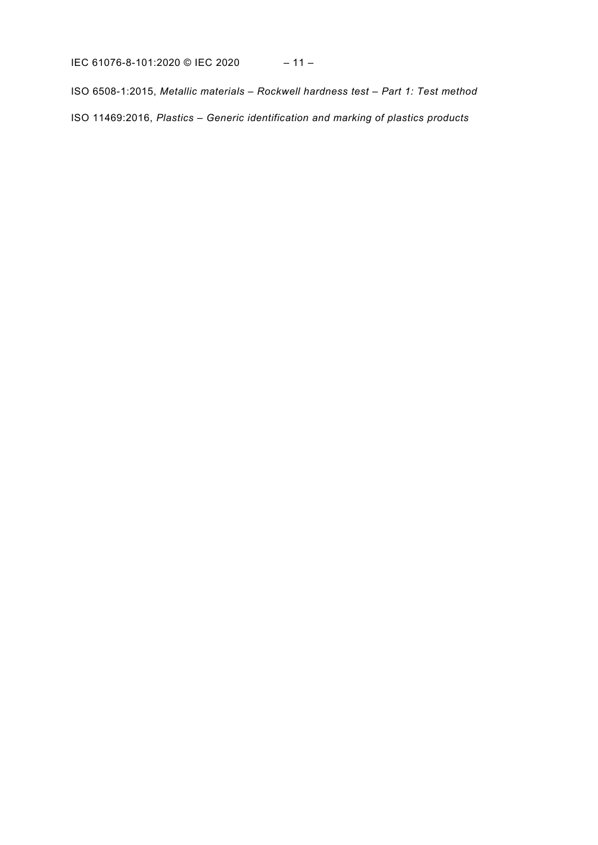IEC 61076-8-101:2020 © IEC 2020 – 11 –

<span id="page-10-7"></span><span id="page-10-6"></span><span id="page-10-5"></span><span id="page-10-4"></span><span id="page-10-3"></span><span id="page-10-2"></span><span id="page-10-1"></span><span id="page-10-0"></span>ISO 6508-1:2015, *Metallic materials – Rockwell hardness test – Part 1: Test method* ISO 11469:2016, *Plastics – Generic identification and marking of plastics products*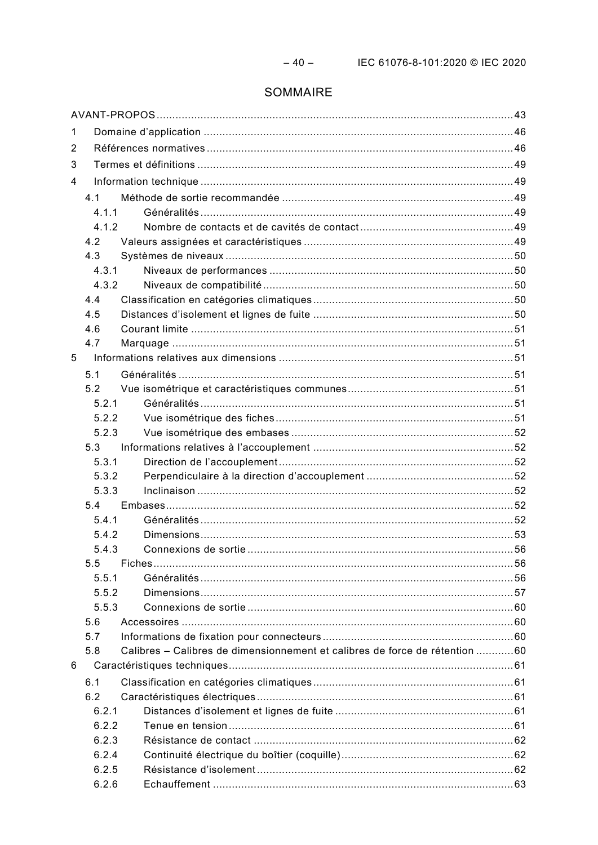# SOMMAIRE

| 1 |       |                                                                             |  |
|---|-------|-----------------------------------------------------------------------------|--|
| 2 |       |                                                                             |  |
| 3 |       |                                                                             |  |
| 4 |       |                                                                             |  |
|   | 4.1   |                                                                             |  |
|   | 4.1.1 |                                                                             |  |
|   | 4.1.2 |                                                                             |  |
|   | 4.2   |                                                                             |  |
|   | 4.3   |                                                                             |  |
|   | 4.3.1 |                                                                             |  |
|   | 4.3.2 |                                                                             |  |
|   | 4.4   |                                                                             |  |
|   | 4.5   |                                                                             |  |
|   | 4.6   |                                                                             |  |
|   | 4.7   |                                                                             |  |
| 5 |       |                                                                             |  |
|   | 5.1   |                                                                             |  |
|   | 5.2   |                                                                             |  |
|   | 5.2.1 |                                                                             |  |
|   | 5.2.2 |                                                                             |  |
|   | 5.2.3 |                                                                             |  |
|   | 5.3   |                                                                             |  |
|   | 5.3.1 |                                                                             |  |
|   | 5.3.2 |                                                                             |  |
|   | 5.3.3 |                                                                             |  |
|   | 5.4   |                                                                             |  |
|   | 5.4.1 |                                                                             |  |
|   | 5.4.2 |                                                                             |  |
|   | 5.4.3 |                                                                             |  |
|   | 5.5   |                                                                             |  |
|   | 5.5.1 |                                                                             |  |
|   | 5.5.2 |                                                                             |  |
|   | 5.5.3 |                                                                             |  |
|   | 5.6   |                                                                             |  |
|   | 5.7   |                                                                             |  |
|   | 5.8   | Calibres – Calibres de dimensionnement et calibres de force de rétention 60 |  |
| 6 |       |                                                                             |  |
|   | 6.1   |                                                                             |  |
|   | 6.2   |                                                                             |  |
|   | 6.2.1 |                                                                             |  |
|   | 6.2.2 |                                                                             |  |
|   | 6.2.3 |                                                                             |  |
|   | 6.2.4 |                                                                             |  |
|   | 6.2.5 |                                                                             |  |
|   | 6.2.6 |                                                                             |  |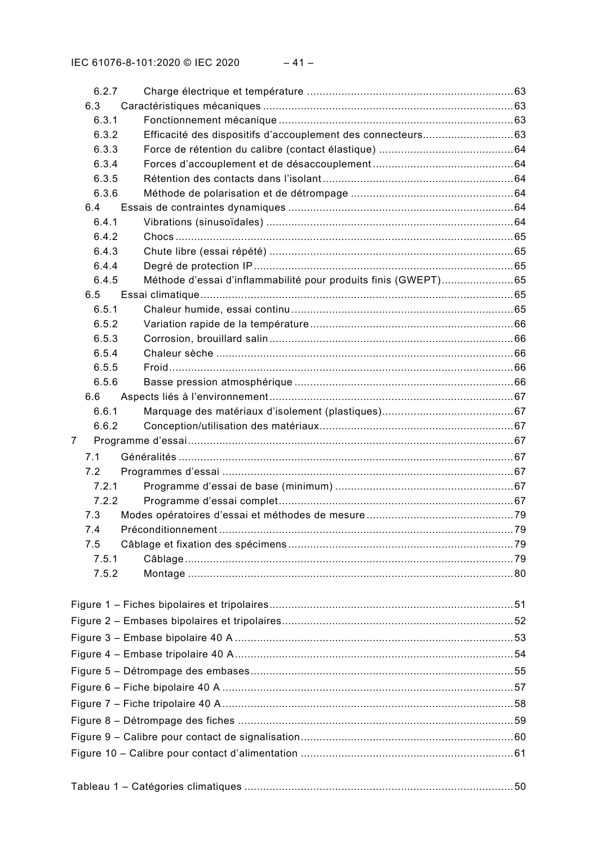| 6.2.7 |                                                                |  |
|-------|----------------------------------------------------------------|--|
| 6.3   |                                                                |  |
| 6.3.1 |                                                                |  |
| 6.3.2 | Efficacité des dispositifs d'accouplement des connecteurs63    |  |
| 6.3.3 |                                                                |  |
| 6.3.4 |                                                                |  |
| 6.3.5 |                                                                |  |
| 6.3.6 |                                                                |  |
| 6.4   |                                                                |  |
| 6.4.1 |                                                                |  |
| 6.4.2 |                                                                |  |
| 6.4.3 |                                                                |  |
| 6.4.4 |                                                                |  |
| 6.4.5 | Méthode d'essai d'inflammabilité pour produits finis (GWEPT)65 |  |
| 6.5   |                                                                |  |
| 6.5.1 |                                                                |  |
| 6.5.2 |                                                                |  |
| 6.5.3 |                                                                |  |
| 6.5.4 |                                                                |  |
| 6.5.5 |                                                                |  |
| 6.5.6 |                                                                |  |
| 6.6   |                                                                |  |
| 6.6.1 |                                                                |  |
| 6.6.2 |                                                                |  |
| 7     |                                                                |  |
| 7.1   |                                                                |  |
| 7.2   |                                                                |  |
| 7.2.1 |                                                                |  |
| 7.2.2 |                                                                |  |
| 7.3   |                                                                |  |
| 7.4   |                                                                |  |
| 7.5   |                                                                |  |
| 7.5.1 |                                                                |  |
| 7.5.2 |                                                                |  |
|       |                                                                |  |
|       |                                                                |  |
|       |                                                                |  |
|       |                                                                |  |
|       |                                                                |  |
|       |                                                                |  |
|       |                                                                |  |
|       |                                                                |  |
|       |                                                                |  |
|       |                                                                |  |
|       |                                                                |  |
|       |                                                                |  |
|       |                                                                |  |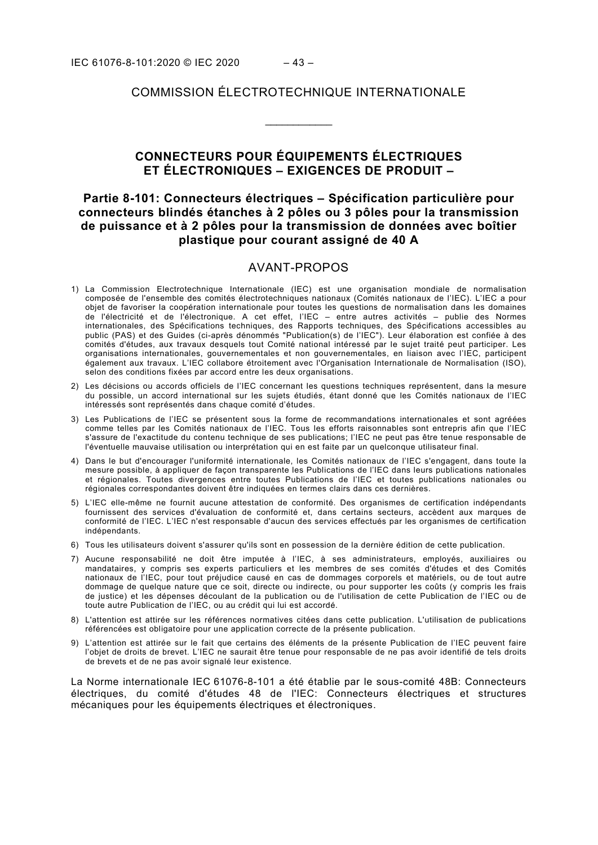#### COMMISSION ÉLECTROTECHNIQUE INTERNATIONALE

\_\_\_\_\_\_\_\_\_\_\_\_

# **CONNECTEURS POUR ÉQUIPEMENTS ÉLECTRIQUES ET ÉLECTRONIQUES – EXIGENCES DE PRODUIT –**

# **Partie 8-101: Connecteurs électriques – Spécification particulière pour connecteurs blindés étanches à 2 pôles ou 3 pôles pour la transmission de puissance et à 2 pôles pour la transmission de données avec boîtier plastique pour courant assigné de 40 A**

#### AVANT-PROPOS

- <span id="page-14-0"></span>1) La Commission Electrotechnique Internationale (IEC) est une organisation mondiale de normalisation composée de l'ensemble des comités électrotechniques nationaux (Comités nationaux de l'IEC). L'IEC a pour objet de favoriser la coopération internationale pour toutes les questions de normalisation dans les domaines de l'électricité et de l'électronique. A cet effet, l'IEC – entre autres activités – publie des Normes internationales, des Spécifications techniques, des Rapports techniques, des Spécifications accessibles au public (PAS) et des Guides (ci-après dénommés "Publication(s) de l'IEC"). Leur élaboration est confiée à des comités d'études, aux travaux desquels tout Comité national intéressé par le sujet traité peut participer. Les organisations internationales, gouvernementales et non gouvernementales, en liaison avec l'IEC, participent également aux travaux. L'IEC collabore étroitement avec l'Organisation Internationale de Normalisation (ISO), selon des conditions fixées par accord entre les deux organisations.
- 2) Les décisions ou accords officiels de l'IEC concernant les questions techniques représentent, dans la mesure du possible, un accord international sur les sujets étudiés, étant donné que les Comités nationaux de l'IEC intéressés sont représentés dans chaque comité d'études.
- 3) Les Publications de l'IEC se présentent sous la forme de recommandations internationales et sont agréées comme telles par les Comités nationaux de l'IEC. Tous les efforts raisonnables sont entrepris afin que l'IEC s'assure de l'exactitude du contenu technique de ses publications; l'IEC ne peut pas être tenue responsable de l'éventuelle mauvaise utilisation ou interprétation qui en est faite par un quelconque utilisateur final.
- 4) Dans le but d'encourager l'uniformité internationale, les Comités nationaux de l'IEC s'engagent, dans toute la mesure possible, à appliquer de façon transparente les Publications de l'IEC dans leurs publications nationales et régionales. Toutes divergences entre toutes Publications de l'IEC et toutes publications nationales ou régionales correspondantes doivent être indiquées en termes clairs dans ces dernières.
- 5) L'IEC elle-même ne fournit aucune attestation de conformité. Des organismes de certification indépendants fournissent des services d'évaluation de conformité et, dans certains secteurs, accèdent aux marques de conformité de l'IEC. L'IEC n'est responsable d'aucun des services effectués par les organismes de certification indépendants.
- 6) Tous les utilisateurs doivent s'assurer qu'ils sont en possession de la dernière édition de cette publication.
- 7) Aucune responsabilité ne doit être imputée à l'IEC, à ses administrateurs, employés, auxiliaires ou mandataires, y compris ses experts particuliers et les membres de ses comités d'études et des Comités nationaux de l'IEC, pour tout préjudice causé en cas de dommages corporels et matériels, ou de tout autre dommage de quelque nature que ce soit, directe ou indirecte, ou pour supporter les coûts (y compris les frais de justice) et les dépenses découlant de la publication ou de l'utilisation de cette Publication de l'IEC ou de toute autre Publication de l'IEC, ou au crédit qui lui est accordé.
- 8) L'attention est attirée sur les références normatives citées dans cette publication. L'utilisation de publications référencées est obligatoire pour une application correcte de la présente publication.
- 9) L'attention est attirée sur le fait que certains des éléments de la présente Publication de l'IEC peuvent faire l'objet de droits de brevet. L'IEC ne saurait être tenue pour responsable de ne pas avoir identifié de tels droits de brevets et de ne pas avoir signalé leur existence.

La Norme internationale IEC 61076-8-101 a été établie par le sous-comité 48B: Connecteurs électriques, du comité d'études 48 de l'IEC: Connecteurs électriques et structures mécaniques pour les équipements électriques et électroniques.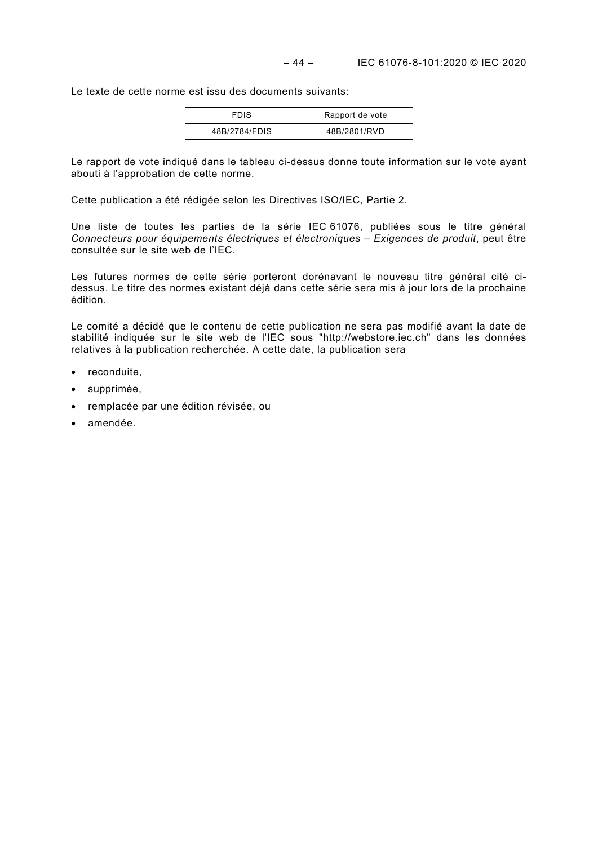Le texte de cette norme est issu des documents suivants:

| <b>FDIS</b>   | Rapport de vote |
|---------------|-----------------|
| 48B/2784/FDIS | 48B/2801/RVD    |

Le rapport de vote indiqué dans le tableau ci-dessus donne toute information sur le vote ayant abouti à l'approbation de cette norme.

Cette publication a été rédigée selon les Directives ISO/IEC, Partie 2.

Une liste de toutes les parties de la série IEC 61076, publiées sous le titre général *Connecteurs pour équipements électriques et électroniques – Exigences de produit*, peut être consultée sur le site web de l'IEC.

Les futures normes de cette série porteront dorénavant le nouveau titre général cité cidessus. Le titre des normes existant déjà dans cette série sera mis à jour lors de la prochaine édition.

Le comité a décidé que le contenu de cette publication ne sera pas modifié avant la date de stabilité indiquée sur le site web de l'IEC sous "http://webstore.iec.ch" dans les données relatives à la publication recherchée. A cette date, la publication sera

- reconduite,
- supprimée,
- remplacée par une édition révisée, ou
- amendée.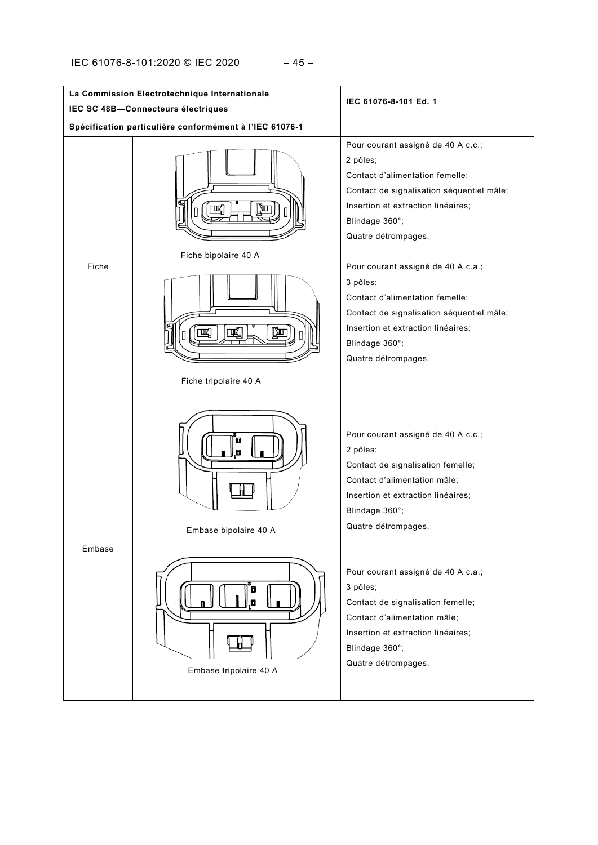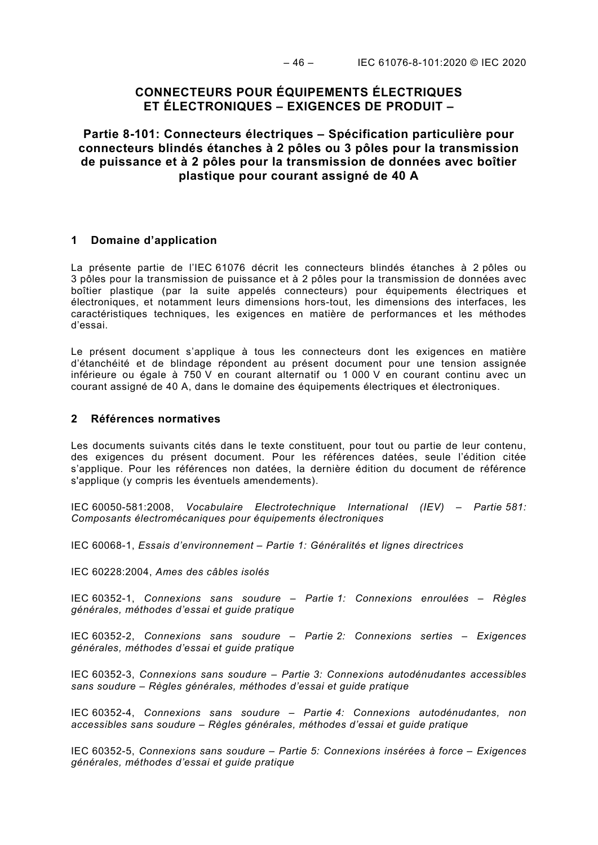# **CONNECTEURS POUR ÉQUIPEMENTS ÉLECTRIQUES ET ÉLECTRONIQUES – EXIGENCES DE PRODUIT –**

**Partie 8-101: Connecteurs électriques – Spécification particulière pour connecteurs blindés étanches à 2 pôles ou 3 pôles pour la transmission de puissance et à 2 pôles pour la transmission de données avec boîtier plastique pour courant assigné de 40 A** 

#### <span id="page-17-0"></span>**1 Domaine d'application**

La présente partie de l'IEC 61076 décrit les connecteurs blindés étanches à 2 pôles ou 3 pôles pour la transmission de puissance et à 2 pôles pour la transmission de données avec boîtier plastique (par la suite appelés connecteurs) pour équipements électriques et électroniques, et notamment leurs dimensions hors-tout, les dimensions des interfaces, les caractéristiques techniques, les exigences en matière de performances et les méthodes d'essai.

Le présent document s'applique à tous les connecteurs dont les exigences en matière d'étanchéité et de blindage répondent au présent document pour une tension assignée inférieure ou égale à 750 V en courant alternatif ou 1 000 V en courant continu avec un courant assigné de 40 A, dans le domaine des équipements électriques et électroniques.

#### <span id="page-17-1"></span>**2 Références normatives**

Les documents suivants cités dans le texte constituent, pour tout ou partie de leur contenu, des exigences du présent document. Pour les références datées, seule l'édition citée s'applique. Pour les références non datées, la dernière édition du document de référence s'applique (y compris les éventuels amendements).

IEC 60050-581:2008, *Vocabulaire Electrotechnique International (IEV) – Partie 581: Composants électromécaniques pour équipements électroniques*

IEC 60068-1, *Essais d'environnement – Partie 1: Généralités et lignes directrices*

IEC 60228:2004, *Ames des câbles isolés*

IEC 60352-1, *Connexions sans soudure – Partie 1: Connexions enroulées – Règles générales, méthodes d'essai et guide pratique*

IEC 60352-2, *Connexions sans soudure – Partie 2: Connexions serties – Exigences générales, méthodes d'essai et guide pratique*

IEC 60352-3, *Connexions sans soudure – Partie 3: Connexions autodénudantes accessibles sans soudure – Règles générales, méthodes d'essai et guide pratique*

IEC 60352-4, *Connexions sans soudure – Partie 4: Connexions autodénudantes, non accessibles sans soudure – Règles générales, méthodes d'essai et guide pratique*

IEC 60352-5, *Connexions sans soudure – Partie 5: Connexions insérées à force – Exigences générales, méthodes d'essai et guide pratique*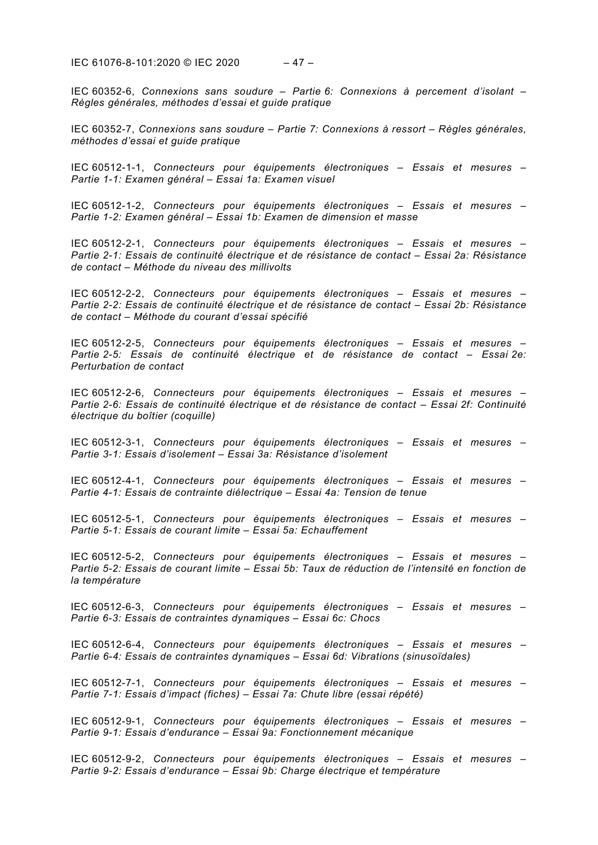IEC 61076-8-101:2020 © IEC 2020 – 47 –

IEC 60352-6, *Connexions sans soudure – Partie 6: Connexions à percement d'isolant – Règles générales, méthodes d'essai et guide pratique*

IEC 60352-7, *Connexions sans soudure – Partie 7: Connexions à ressort – Règles générales, méthodes d'essai et guide pratique*

IEC 60512-1-1, *Connecteurs pour équipements électroniques – Essais et mesures – Partie 1-1: Examen général – Essai 1a: Examen visuel*

IEC 60512-1-2, *Connecteurs pour équipements électroniques – Essais et mesures – Partie 1-2: Examen général – Essai 1b: Examen de dimension et masse*

IEC 60512-2-1, *Connecteurs pour équipements électroniques – Essais et mesures – Partie 2-1: Essais de continuité électrique et de résistance de contact – Essai 2a: Résistance de contact – Méthode du niveau des millivolts*

IEC 60512-2-2, *Connecteurs pour équipements électroniques – Essais et mesures – Partie 2-2: Essais de continuité électrique et de résistance de contact – Essai 2b: Résistance de contact – Méthode du courant d'essai spécifié*

IEC 60512-2-5, *Connecteurs pour équipements électroniques – Essais et mesures – Partie 2-5: Essais de continuité électrique et de résistance de contact – Essai 2e: Perturbation de contact*

IEC 60512-2-6, *Connecteurs pour équipements électroniques – Essais et mesures – Partie 2-6: Essais de continuité électrique et de résistance de contact – Essai 2f: Continuité électrique du boîtier (coquille)*

IEC 60512-3-1, *Connecteurs pour équipements électroniques – Essais et mesures – Partie 3-1: Essais d'isolement – Essai 3a: Résistance d'isolement*

IEC 60512-4-1, *Connecteurs pour équipements électroniques – Essais et mesures – Partie 4-1: Essais de contrainte diélectrique – Essai 4a: Tension de tenue*

IEC 60512-5-1, *Connecteurs pour équipements électroniques – Essais et mesures – Partie 5-1: Essais de courant limite – Essai 5a: Echauffement*

IEC 60512-5-2, *Connecteurs pour équipements électroniques – Essais et mesures – Partie 5-2: Essais de courant limite – Essai 5b: Taux de réduction de l'intensité en fonction de la température*

IEC 60512-6-3, *Connecteurs pour équipements électroniques – Essais et mesures – Partie 6-3: Essais de contraintes dynamiques – Essai 6c: Chocs*

IEC 60512-6-4, *Connecteurs pour équipements électroniques – Essais et mesures – Partie 6-4: Essais de contraintes dynamiques – Essai 6d: Vibrations (sinusoïdales)*

IEC 60512-7-1, *Connecteurs pour équipements électroniques – Essais et mesures – Partie 7-1: Essais d'impact (fiches) – Essai 7a: Chute libre (essai répété)*

IEC 60512-9-1, *Connecteurs pour équipements électroniques – Essais et mesures – Partie 9-1: Essais d'endurance – Essai 9a: Fonctionnement mécanique*

IEC 60512-9-2, *Connecteurs pour équipements électroniques – Essais et mesures – Partie 9-2: Essais d'endurance – Essai 9b: Charge électrique et température*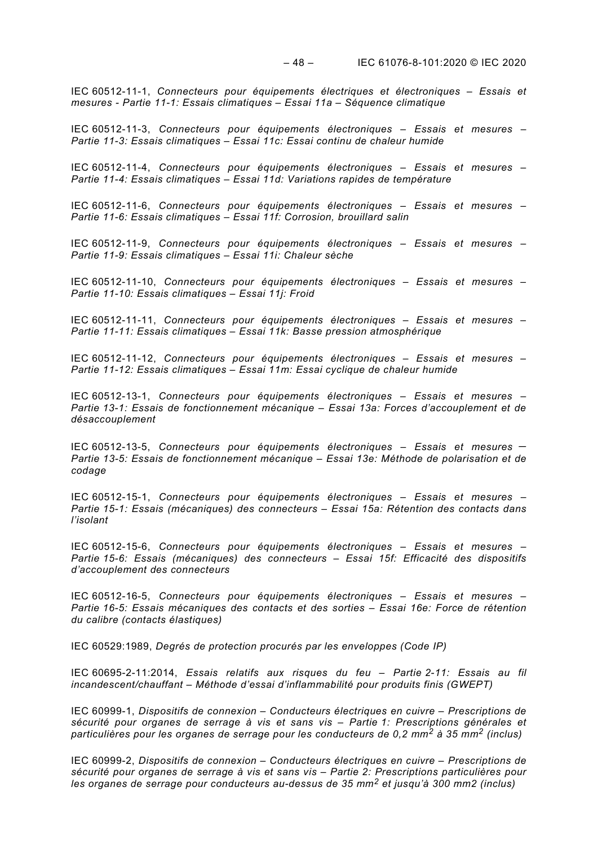IEC 60512-11-1, *Connecteurs pour équipements électriques et électroniques – Essais et mesures - Partie 11-1: Essais climatiques – Essai 11a – Séquence climatique*

IEC 60512-11-3, *Connecteurs pour équipements électroniques – Essais et mesures – Partie 11-3: Essais climatiques – Essai 11c: Essai continu de chaleur humide*

IEC 60512-11-4, *Connecteurs pour équipements électroniques – Essais et mesures – Partie 11-4: Essais climatiques – Essai 11d: Variations rapides de température*

IEC 60512-11-6, *Connecteurs pour équipements électroniques – Essais et mesures – Partie 11-6: Essais climatiques – Essai 11f: Corrosion, brouillard salin*

IEC 60512-11-9, *Connecteurs pour équipements électroniques – Essais et mesures – Partie 11-9: Essais climatiques – Essai 11i: Chaleur sèche*

IEC 60512-11-10, *Connecteurs pour équipements électroniques – Essais et mesures – Partie 11-10: Essais climatiques – Essai 11j: Froid*

IEC 60512-11-11, *Connecteurs pour équipements électroniques – Essais et mesures – Partie 11-11: Essais climatiques – Essai 11k: Basse pression atmosphérique*

IEC 60512-11-12, *Connecteurs pour équipements électroniques – Essais et mesures – Partie 11-12: Essais climatiques – Essai 11m: Essai cyclique de chaleur humide*

IEC 60512-13-1, *Connecteurs pour équipements électroniques – Essais et mesures – Partie 13-1: Essais de fonctionnement mécanique – Essai 13a: Forces d'accouplement et de désaccouplement*

IEC 60512-13-5, *Connecteurs pour équipements électroniques – Essais et mesures – Partie 13-5: Essais de fonctionnement mécanique – Essai 13e: Méthode de polarisation et de codage* 

IEC 60512-15-1, *Connecteurs pour équipements électroniques – Essais et mesures – Partie 15-1: Essais (mécaniques) des connecteurs – Essai 15a: Rétention des contacts dans l'isolant*

IEC 60512-15-6, *Connecteurs pour équipements électroniques – Essais et mesures – Partie 15-6: Essais (mécaniques) des connecteurs – Essai 15f: Efficacité des dispositifs d'accouplement des connecteurs*

IEC 60512-16-5, *Connecteurs pour équipements électroniques – Essais et mesures – Partie 16-5: Essais mécaniques des contacts et des sorties – Essai 16e: Force de rétention du calibre (contacts élastiques)*

IEC 60529:1989, *Degrés de protection procurés par les enveloppes (Code IP)*

IEC 60695-2-11:2014, *Essais relatifs aux risques du feu – Partie 2-11: Essais au fil incandescent/chauffant – Méthode d'essai d'inflammabilité pour produits finis (GWEPT)*

IEC 60999-1, *Dispositifs de connexion – Conducteurs électriques en cuivre – Prescriptions de sécurité pour organes de serrage à vis et sans vis – Partie 1: Prescriptions générales et particulières pour les organes de serrage pour les conducteurs de 0,2 mm<sup>2</sup> à 35 mm<sup>2</sup> (inclus)*

IEC 60999-2, *Dispositifs de connexion – Conducteurs électriques en cuivre – Prescriptions de sécurité pour organes de serrage à vis et sans vis – Partie 2: Prescriptions particulières pour les organes de serrage pour conducteurs au-dessus de 35 mm<sup>2</sup> et jusqu'à 300 mm2 (inclus)*